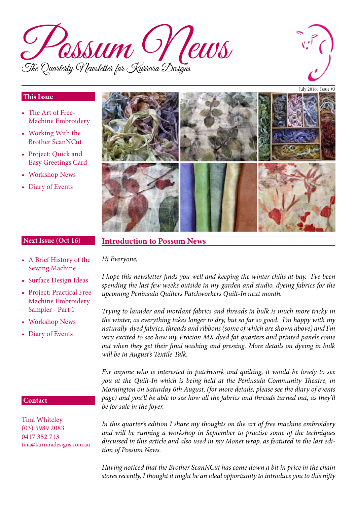



#### **This Issue**

- The Art of Free-Machine Embroidery
- Working With the Brother ScanNCut
- Project: Quick and Easy Greetings Card
- Workshop News
- Diary of Events



#### **Next Issue (Oct 16)**

# **Introduction to Possum News**

- A Brief History of the Sewing Machine *Hi Everyone,*
- Surface Design Ideas
- Project: Practical Free Machine Embroidery Sampler - Part 1
- Workshop News
- Diary of Events

#### **Contact**

Tina Whiteley (03) 5989 2083 0417 352 713 tina@kurraradesigns.com.au *I hope this newsletter finds you well and keeping the winter chills at bay. I've been spending the last few weeks outside in my garden and studio, dyeing fabrics for the upcoming Peninsula Quilters Patchworkers Quilt-In next month.* 

*Trying to launder and mordant fabrics and threads in bulk is much more tricky in the winter, as everything takes longer to dry, but so far so good. I'm happy with my naturally-dyed fabrics, threads and ribbons (some of which are shown above) and I'm very excited to see how my Procion MX dyed fat quarters and printed panels come out when they get their final washing and pressing. More details on dyeing in bulk will be in August's Textile Talk.*

*For anyone who is interested in patchwork and quilting, it would be lovely to see you at the Quilt-In which is being held at the Peninsula Community Theatre, in Mornington on Saturday 6th August, (for more details, please see the diary of events page) and you'll be able to see how all the fabrics and threads turned out, as they'll be for sale in the foyer.* 

*In this quarter's edition I share my thoughts on the art of free machine embroidery and will be running a workshop in September to practise some of the techniques discussed in this article and also used in my Monet wrap, as featured in the last edition of Possum News.*

*Having noticed that the Brother ScanNCut has come down a bit in price in the chain stores recently, I thought it might be an ideal opportunity to introduce you to this nifty*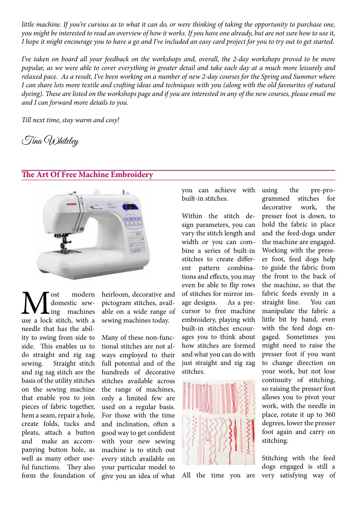little machine. If you're curious as to what it can do, or were thinking of taking the opportunity to purchase one, *you might be interested to read an overview of how it works. If you have one already, but are not sure how to use it, I hope it might encourage you to have a go and I've included an easy card project for you to try out to get started.*

*I've taken on board all your feedback on the workshops and, overall, the 2-day workshops proved to be more popular, as we were able to cover everything in greater detail and take each day at a much more leisurely and relaxed pace. As a result, I've been working on a number of new 2-day courses for the Spring and Summer where I can share lots more textile and crafting ideas and techniques with you (along with the old favourites of natural dyeing). These are listed on the workshops page and if you are interested in any of the new courses, please email me and I can forward more details to you.* 

*Till next time, stay warm and cosy!*

Tina Whiteley

#### **The Art Of Free Machine Embroidery**



 $\sum_{\text{ing}\atop \text{machines}}$  machines domestic sewing machines needle that has the ability to swing from side to side. This enables us to do straight and zig zag sewing. Straight stitch and zig zag stitch are the basis of the utility stitches on the sewing machine that enable you to join pieces of fabric together, hem a seam, repair a hole, create folds, tucks and pleats, attach a button and make an accompanying button hole, as well as many other useful functions. They also form the foundation of

heirloom, decorative and pictogram stitches, available on a wide range of sewing machines today.

Many of these non-functional stitches are not always employed to their full potential and of the hundreds of decorative stitches available across the range of machines, only a limited few are used on a regular basis. For those with the time and inclination, often a good way to get confident with your new sewing machine is to stitch out every stitch available on your particular model to give you an idea of what you can achieve with built-in stitches.

Within the stitch design parameters, you can vary the stitch length and width or you can combine a series of built-in stitches to create different pattern combinations and effects, you may even be able to flip rows of stitches for mirror image designs. As a precursor to free machine embroidery, playing with built-in stitches encourages you to think about how stitches are formed and what you can do with just straight and zig zag stitches.



All the time you are

using the pre-programmed stitches for decorative work, the presser foot is down, to hold the fabric in place and the feed-dogs under the machine are engaged. Working with the presser foot, feed dogs help to guide the fabric from the front to the back of the machine, so that the fabric feeds evenly in a straight line. You can manipulate the fabric a little bit by hand, even with the feed dogs engaged. Sometimes you might need to raise the presser foot if you want to change direction on your work, but not lose continuity of stitching, so raising the presser foot allows you to pivot your work, with the needle in place, rotate it up to 360 degrees, lower the presser foot again and carry on stitching.

Stitching with the feed dogs engaged is still a very satisfying way of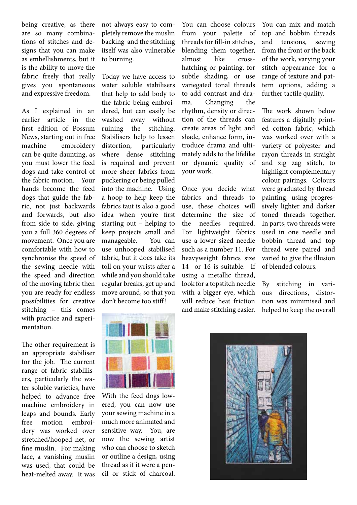being creative, as there are so many combinations of stitches and designs that you can make as embellishments, but it is the ability to move the fabric freely that really gives you spontaneous and expressive freedom.

As I explained in an earlier article in the first edition of Possum News, starting out in free machine embroidery can be quite daunting, as you must lower the feed dogs and take control of the fabric motion. Your hands become the feed dogs that guide the fabric, not just backwards and forwards, but also from side to side, giving you a full 360 degrees of movement. Once you are comfortable with how to synchronise the speed of the sewing needle with the speed and direction of the moving fabric then you are ready for endless possibilities for creative stitching – this comes with practice and experimentation.

The other requirement is an appropriate stabiliser for the job. The current range of fabric stablilisers, particularly the water soluble varieties, have helped to advance free machine embroidery in leaps and bounds. Early free motion embroidery was worked over stretched/hooped net, or fine muslin. For making lace, a vanishing muslin was used, that could be heat-melted away. It was

not always easy to completely remove the muslin backing and the stitching itself was also vulnerable to burning.

Today we have access to water soluble stabilisers that help to add body to the fabric being embroidered, but can easily be washed away without ruining the stitching. Stabilisers help to lessen distortion, particularly where dense stitching is required and prevent more sheer fabrics from puckering or being pulled into the machine. Using a hoop to help keep the fabrics taut is also a good idea when you're first starting out – helping to keep projects small and manageable. You can use unhooped stabilised fabric, but it does take its toll on your wrists after a while and you should take regular breaks, get up and move around, so that you don't become too stiff!

You can choose colours from your palette of threads for fill-in stitches, blending them together, almost like crosshatching or painting, for subtle shading, or use variegated tonal threads to add contrast and drama. Changing the rhythm, density or direction of the threads can create areas of light and shade, enhance form, introduce drama and ultimately adds to the lifelike or dynamic quality of your work.

Once you decide what fabrics and threads to use, these choices will determine the size of the needles required. For lightweight fabrics use a lower sized needle such as a number 11. For heavyweight fabrics size 14 or 16 is suitable. If using a metallic thread, look for a topstitch needle with a bigger eye, which will reduce heat friction and make stitching easier.

You can mix and match top and bobbin threads and tensions, sewing from the front or the back of the work, varying your stitch appearance for a range of texture and pattern options, adding a further tactile quality.

The work shown below features a digitally printed cotton fabric, which was worked over with a variety of polyester and rayon threads in straight and zig zag stitch, to highlight complementary colour pairings. Colours were graduated by thread painting, using progressively lighter and darker toned threads together. In parts, two threads were used in one needle and bobbin thread and top thread were paired and varied to give the illusion of blended colours.

By stitching in various directions, distortion was minimised and helped to keep the overall



With the feed dogs lowered, you can now use your sewing machine in a much more animated and sensitive way. You, are now the sewing artist who can choose to sketch or outline a design, using thread as if it were a pencil or stick of charcoal.

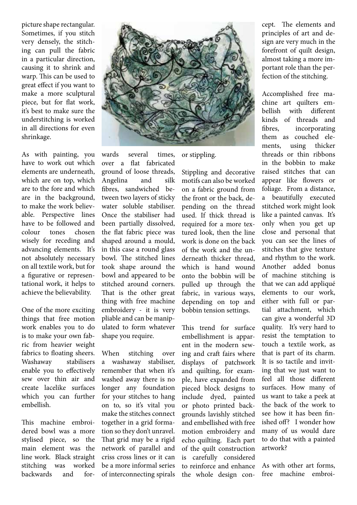picture shape rectangular. Sometimes, if you stitch very densely, the stitching can pull the fabric in a particular direction, causing it to shrink and warp. This can be used to great effect if you want to make a more sculptural piece, but for flat work, it's best to make sure the understitching is worked in all directions for even shrinkage.

As with painting, you have to work out which elements are underneath, which are on top, which are to the fore and which are in the background, to make the work believable. Perspective lines have to be followed and colour tones chosen wisely for receding and advancing elements. It's not absolutely necessary on all textile work, but for a figurative or representational work, it helps to achieve the believability.

One of the more exciting things that free motion work enables you to do is to make your own fabric from heavier weight fabrics to floating sheers. Washaway stabilisers enable you to effectively sew over thin air and create lacelike surfaces which you can further embellish.

This machine embroidered bowl was a more stylised piece, so the main element was the line work. Black straight stitching was worked backwards and for-



When stitching over a washaway stabiliser, remember that when it's washed away there is no longer any foundation for your stitches to hang on to, so it's vital you make the stitches connect together in a grid formation so they don't unravel. That grid may be a rigid network of parallel and criss cross lines or it can be a more informal series of interconnecting spirals

or stippling.

Stippling and decorative motifs can also be worked on a fabric ground from the front or the back, depending on the thread used. If thick thread is required for a more textured look, then the line work is done on the back of the work and the underneath thicker thread, which is hand wound onto the bobbin will be pulled up through the fabric, in various ways, depending on top and bobbin tension settings.

This trend for surface embellishment is apparent in the modern sewing and craft fairs where displays of patchwork and quilting, for example, have expanded from pieced block designs to include dyed, painted or photo printed backgrounds lavishly stitched and embellished with free motion embroidery and echo quilting. Each part of the quilt construction is carefully considered to reinforce and enhance the whole design concept. The elements and principles of art and design are very much in the forefront of quilt design, almost taking a more important role than the perfection of the stitching.

Accomplished free machine art quilters embellish with different kinds of threads and fibres, incorporating them as couched elements, using thicker threads or thin ribbons in the bobbin to make raised stitches that can appear like flowers or foliage. From a distance, a beautifully executed stitched work might look like a painted canvas. It's only when you get up close and personal that you can see the lines of stitches that give texture and rhythm to the work. Another added bonus of machine stitching is that we can add appliqué elements to our work, either with full or partial attachment, which can give a wonderful 3D quality. It's very hard to resist the temptation to touch a textile work, as that is part of its charm. It is so tactile and inviting that we just want to feel all those different surfaces. How many of us want to take a peek at the back of the work to see how it has been finished off? I wonder how many of us would dare to do that with a painted artwork?

As with other art forms, free machine embroi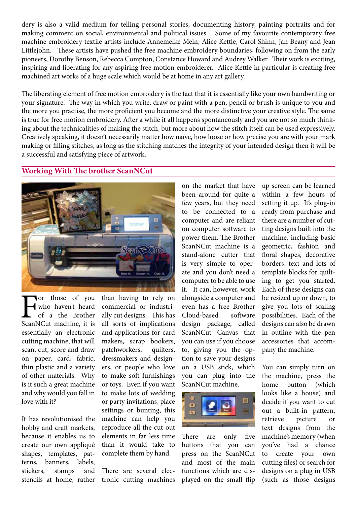dery is also a valid medium for telling personal stories, documenting history, painting portraits and for making comment on social, environmental and political issues. Some of my favourite contemporary free machine embroidery textile artists include Annemeike Mein, Alice Kettle, Carol Shinn, Jan Beany and Jean Littlejohn. These artists have pushed the free machine embroidery boundaries, following on from the early pioneers, Dorothy Benson, Rebecca Compton, Constance Howard and Audrey Walker. Their work is exciting, inspiring and liberating for any aspiring free motion embroiderer. Alice Kettle in particular is creating free machined art works of a huge scale which would be at home in any art gallery.

The liberating element of free motion embroidery is the fact that it is essentially like your own handwriting or your signature. The way in which you write, draw or paint with a pen, pencil or brush is unique to you and the more you practise, the more proficient you become and the more distinctive your creative style. The same is true for free motion embroidery. After a while it all happens spontaneously and you are not so much thinking about the technicalities of making the stitch, but more about how the stitch itself can be used expressively. Creatively speaking, it doesn't necessarily matter how naïve, how loose or how precise you are with your mark making or filling stitches, as long as the stitching matches the integrity of your intended design then it will be a successful and satisfying piece of artwork.

#### **Working With The brother ScanNCut**



Tor those of you<br>
who haven't heard<br>
of a the Brother<br>
ScanNCut machine, it is who haven't heard of a the Brother essentially an electronic cutting machine, that will scan, cut, score and draw on paper, card, fabric, thin plastic and a variety of other materials. Why is it such a great machine and why would you fall in love with it?

It has revolutionised the hobby and craft markets, because it enables us to create our own appliqué shapes, templates, patterns, banners, labels, stickers, stamps and stencils at home, rather than having to rely on commercial or industrially cut designs. This has all sorts of implications and applications for card makers, scrap bookers, patchworkers, quilters, dressmakers and designers, or people who love to make soft furnishings or toys. Even if you want to make lots of wedding or party invitations, place settings or bunting, this machine can help you reproduce all the cut-out elements in far less time than it would take to complete them by hand.

There are several electronic cutting machines

on the market that have been around for quite a few years, but they need to be connected to a computer and are reliant on computer software to power them. The Brother ScanNCut machine is a stand-alone cutter that is very simple to operate and you don't need a computer to be able to use it. It can, however, work alongside a computer and even has a free Brother Cloud-based software design package, called ScanNCut Canvas that you can use if you choose to, giving you the option to save your designs on a USB stick, which you can plug into the ScanNCut machine.



There are only five buttons that you can press on the ScanNCut and most of the main functions which are displayed on the small flip

up screen can be learned within a few hours of setting it up. It's plug-in ready from purchase and there are a number of cutting designs built into the machine, including basic geometric, fashion and floral shapes, decorative borders, text and lots of template blocks for quilting to get you started. Each of these designs can be resized up or down, to give you lots of scaling possibilities. Each of the designs can also be drawn in outline with the pen accessories that accompany the machine.

You can simply turn on the machine, press the home button (which looks like a house) and decide if you want to cut out a built-in pattern, retrieve picture or text designs from the machine's memory (when you've had a chance to create your own cutting files) or search for designs on a plug in USB (such as those designs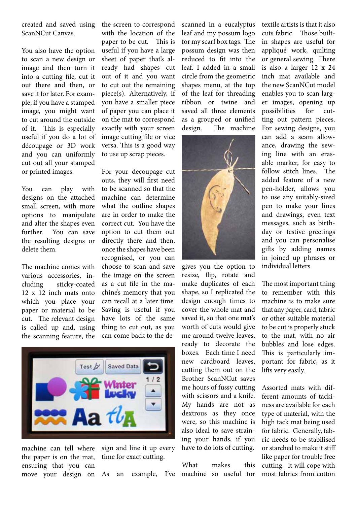created and saved using ScanNCut Canvas.

You also have the option to scan a new design or image and then turn it into a cutting file, cut it out there and then, or save it for later. For example, if you have a stamped image, you might want to cut around the outside of it. This is especially useful if you do a lot of découpage or 3D work and you can uniformly cut out all your stamped or printed images.

You can play with designs on the attached small screen, with more options to manipulate and alter the shapes even further. You can save the resulting designs or delete them.

The machine comes with various accessories, including sticky-coated 12 x 12 inch mats onto which you place your paper or material to be cut. The relevant design is called up and, using the scanning feature, the the screen to correspond with the location of the paper to be cut. This is useful if you have a large sheet of paper that's already had shapes cut out of it and you want to cut out the remaining piece(s). Alternatively, if you have a smaller piece of paper you can place it on the mat to correspond exactly with your screen image cutting file or vice versa. This is a good way to use up scrap pieces.

For your decoupage cut outs, they will first need to be scanned so that the machine can determine what the outline shapes are in order to make the correct cut. You have the option to cut them out directly there and then, once the shapes have been recognised, or you can choose to scan and save the image on the screen as a cut file in the machine's memory that you can recall at a later time. Saving is useful if you have lots of the same thing to cut out, as you can come back to the de-



machine can tell where the paper is on the mat, ensuring that you can move your design on sign and line it up every time for exact cutting.

scanned in a eucalyptus leaf and my possum logo for my scarf box tags. The possum design was then reduced to fit into the leaf. I added in a small circle from the geometric shapes menu, at the top of the leaf for threading ribbon or twine and saved all three elements as a grouped or unified design. The machine



gives you the option to resize, flip, rotate and make duplicates of each shape, so I replicated the design enough times to cover the whole mat and saved it, so that one mat's worth of cuts would give me around twelve leaves, ready to decorate the boxes. Each time I need new cardboard leaves, cutting them out on the Brother ScanNCut saves me hours of fussy cutting with scissors and a knife. My hands are not as dextrous as they once were, so this machine is also ideal to save straining your hands, if you have to do lots of cutting.

As an example, I've machine so useful for What makes this textile artists is that it also cuts fabric. Those builtin shapes are useful for appliqué work, quilting or general sewing. There is also a larger 12 x 24 inch mat available and the new ScanNCut model enables you to scan larger images, opening up possibilities for cutting out pattern pieces. For sewing designs, you can add a seam allowance, drawing the sewing line with an erasable marker, for easy to follow stitch lines. The added feature of a new pen-holder, allows you to use any suitably-sized pen to make your lines and drawings, even text messages, such as birthday or festive greetings and you can personalise gifts by adding names in joined up phrases or individual letters.

The most important thing to remember with this machine is to make sure that any paper, card, fabric or other suitable material to be cut is properly stuck to the mat, with no air bubbles and lose edges. This is particularly important for fabric, as it lifts very easily.

Assorted mats with different amounts of tackiness are available for each type of material, with the high tack mat being used for fabric. Generally, fabric needs to be stabilised or starched to make it stiff like paper for trouble free cutting. It will cope with most fabrics from cotton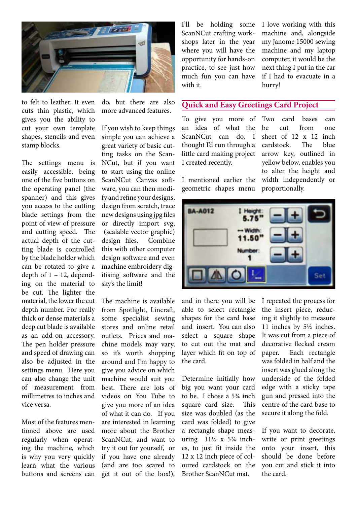

to felt to leather. It even cuts thin plastic, which gives you the ability to cut your own template shapes, stencils and even stamp blocks.

The settings menu is easily accessible, being one of the five buttons on the operating panel (the spanner) and this gives you access to the cutting blade settings from the point of view of pressure and cutting speed. The actual depth of the cutting blade is controlled by the blade holder which can be rotated to give a depth of  $1 - 12$ , depending on the material to be cut. The lighter the material, the lower the cut depth number. For really thick or dense materials a deep cut blade is available as an add-on accessory. The pen holder pressure and speed of drawing can also be adjusted in the settings menu. Here you can also change the unit of measurement from millimetres to inches and vice versa.

Most of the features mentioned above are used regularly when operating the machine, which is why you very quickly learn what the various buttons and screens can

do, but there are also more advanced features.

If you wish to keep things simple you can achieve a great variety of basic cutting tasks on the Scan-NCut, but if you want to start using the online ScanNCut Canvas software, you can then modify and refine your designs, design from scratch, trace newdesigns using jpg files or directly import svg, (scalable vector graphic) design files. Combine this with other computer design software and even machine embroidery digitising software and the sky's the limit!

The machine is available from Spotlight, Lincraft, some specialist sewing stores and online retail outlets. Prices and machine models may vary, so it's worth shopping around and I'm happy to give you advice on which machine would suit you best. There are lots of videos on You Tube to give you more of an idea of what it can do. If you are interested in learning more about the Brother ScanNCut, and want to try it out for yourself, or if you have one already (and are too scared to get it out of the box!),

I'll be holding some ScanNCut crafting workshops later in the year where you will have the opportunity for hands-on practice, to see just how much fun you can have with it.

I love working with this machine and, alongside my Janome 15000 sewing machine and my laptop computer, it would be the next thing I put in the car if I had to evacuate in a hurry!

#### **Quick and Easy Greetings Card Project**

To give you more of an idea of what the ScanNCut can do, I thought I'd run through a little card making project I created recently.

I mentioned earlier the geometric shapes menu

Two card bases can be cut from one sheet of 12 x 12 inch cardstock. The blue arrow key, outlined in yellow below, enables you to alter the height and width independently or proportionally.



and in there you will be able to select rectangle shapes for the card base and insert. You can also select a square shape to cut out the mat and layer which fit on top of the card.

Determine initially how big you want your card to be. I chose a 5¾ inch square card size. This size was doubled (as the card was folded) to give a rectangle shape measuring  $11\frac{1}{2}$  x 5<sup>3</sup>/<sub>4</sub> inches, to just fit inside the 12 x 12 inch piece of coloured cardstock on the Brother ScanNCut mat.

I repeated the process for the insert piece, reducing it slightly to measure 11 inches by 5½ inches. It was cut from a piece of decorative flecked cream paper. Each rectangle was folded in half and the insert was glued along the underside of the folded edge with a sticky tape gun and pressed into the centre of the card base to secure it along the fold.

If you want to decorate, write or print greetings onto your insert, this should be done before you cut and stick it into the card.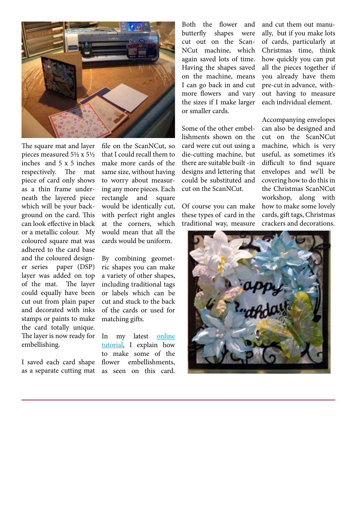

The square mat and layer pieces measured 5½ x 5½ inches and 5 x 5 inches respectively. The mat piece of card only shows as a thin frame underneath the layered piece which will be your background on the card. This can look effective in black or a metallic colour. My coloured square mat was adhered to the card base and the coloured designer series paper (DSP) layer was added on top of the mat. The layer could equally have been cut out from plain paper and decorated with inks stamps or paints to make the card totally unique. The layer is now ready for embellishing.

I saved each card shape as a separate cutting mat

file on the ScanNCut, so that I could recall them to make more cards of the same size, without having to worry about measuring any more pieces. Each rectangle and square would be identically cut, with perfect right angles at the corners, which would mean that all the cards would be uniform.

By combining geometric shapes you can make a variety of other shapes, including traditional tags or labels which can be cut and stuck to the back of the cards or used for matching gifts.

In my latest [online](http://www.kurraradesigns.com.au/Documents/Tutorial%205_Fun%20Flowers%20With%20a%20Twist.pdf) [tutorial](http://www.kurraradesigns.com.au/Documents/Tutorial%205_Fun%20Flowers%20With%20a%20Twist.pdf), I explain how to make some of the flower embellishments, as seen on this card.

Both the flower and butterfly shapes were cut out on the Scan-NCut machine, which again saved lots of time. Having the shapes saved on the machine, means I can go back in and cut more flowers and vary the sizes if I make larger or smaller cards.

Some of the other embellishments shown on the card were cut out using a die-cutting machine, but there are suitable built -in designs and lettering that could be substituted and cut on the ScanNCut.

Of course you can make these types of card in the traditional way, measure

and cut them out manually, but if you make lots of cards, particularly at Christmas time, think how quickly you can put all the pieces together if you already have them pre-cut in advance, without having to measure each individual element.

Accompanying envelopes can also be designed and cut on the ScanNCut machine, which is very useful, as sometimes it's difficult to find square envelopes and we'll be covering how to do thisin the Christmas ScanNCut workshop, along with how to make some lovely cards, gift tags, Christmas crackers and decorations.